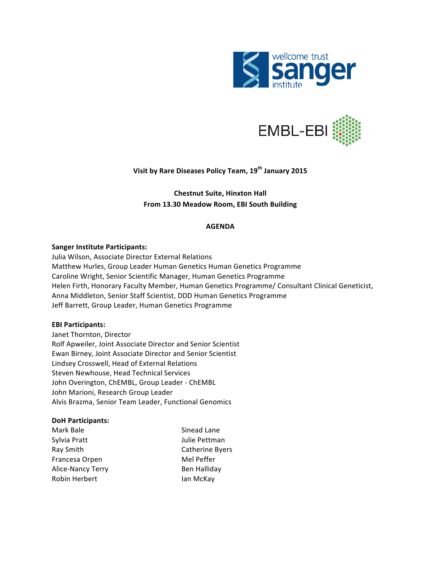



**Visit by Rare Diseases Policy Team, 19<sup>th</sup> January 2015** 

**Chestnut Suite, Hinxton Hall** From 13.30 Meadow Room, EBI South Building

## **AGENDA**

## **Sanger Institute Participants:**

Julia Wilson, Associate Director External Relations Matthew Hurles, Group Leader Human Genetics Human Genetics Programme Caroline Wright, Senior Scientific Manager, Human Genetics Programme Helen Firth, Honorary Faculty Member, Human Genetics Programme/ Consultant Clinical Geneticist, Anna Middleton, Senior Staff Scientist, DDD Human Genetics Programme Jeff Barrett, Group Leader, Human Genetics Programme

## **EBI Participants:**

Janet Thornton, Director Rolf Apweiler, Joint Associate Director and Senior Scientist Ewan Birney, Joint Associate Director and Senior Scientist Lindsey Crosswell, Head of External Relations Steven Newhouse, Head Technical Services John Overington, ChEMBL, Group Leader - ChEMBL John Marioni, Research Group Leader Alvis Brazma, Senior Team Leader, Functional Genomics

## **DoH Participants:**

| Mark Bale         | Sinead Lane         |
|-------------------|---------------------|
| Sylvia Pratt      | Julie Pettman       |
| Ray Smith         | Catherine Byers     |
| Francesa Orpen    | Mel Peffer          |
| Alice-Nancy Terry | <b>Ben Halliday</b> |
| Robin Herbert     | lan McKay           |